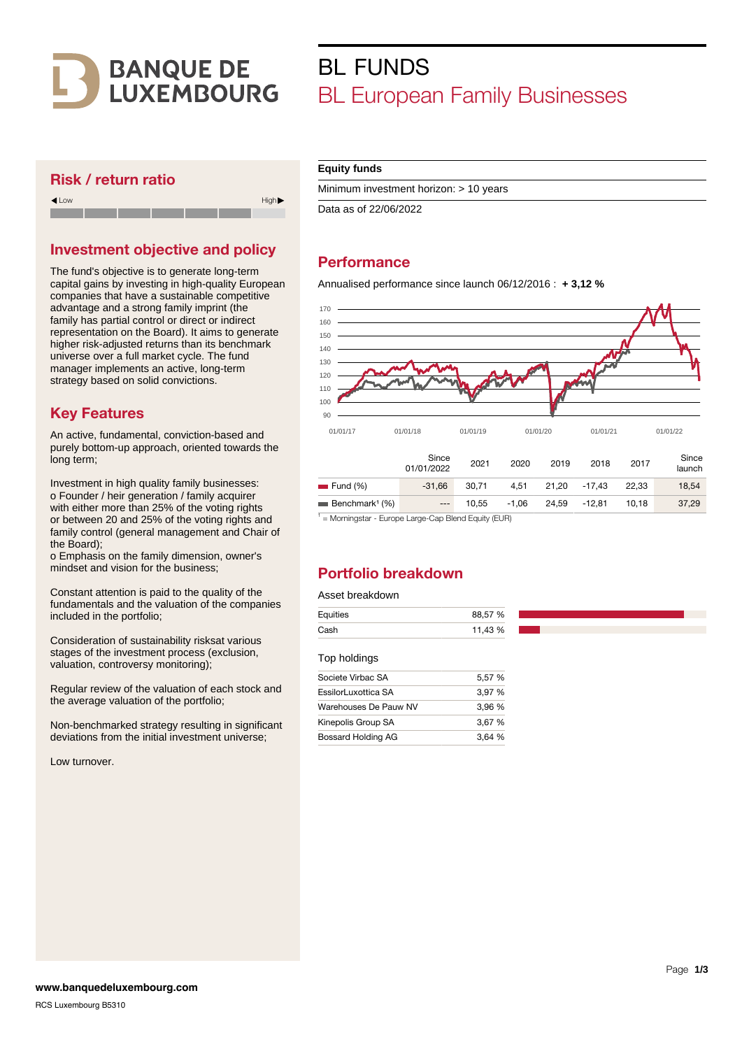

#### Risk / return ratio



### Investment objective and policy

The fund's objective is to generate long-term capital gains by investing in high-quality European companies that have a sustainable competitive advantage and a strong family imprint (the family has partial control or direct or indirect representation on the Board). It aims to generate higher risk-adjusted returns than its benchmark universe over a full market cycle. The fund manager implements an active, long-term strategy based on solid convictions.

### Key Features

An active, fundamental, conviction-based and purely bottom-up approach, oriented towards the long term;

Investment in high quality family businesses: o Founder / heir generation / family acquirer with either more than 25% of the voting rights or between 20 and 25% of the voting rights and family control (general management and Chair of the Board);

o Emphasis on the family dimension, owner's mindset and vision for the business;

Constant attention is paid to the quality of the fundamentals and the valuation of the companies included in the portfolio;

Consideration of sustainability risksat various stages of the investment process (exclusion, valuation, controversy monitoring);

Regular review of the valuation of each stock and the average valuation of the portfolio;

Non-benchmarked strategy resulting in significant deviations from the initial investment universe;

Low turnover.

#### **Equity funds**

Minimum investment horizon: > 10 years

Data as of 22/06/2022

BL FUNDS

## **Performance**

Annualised performance since launch 06/12/2016 : **+ 3,12 %**

BL European Family Businesses



<sup>1</sup> = Morningstar - Europe Large-Cap Blend Equity (EUR)

## Portfolio breakdown

#### Asset breakdown

| Equities | 88,57 % |
|----------|---------|
| Cash     | 11,43 % |

#### Top holdings

| Societe Virbac SA     | 5,57 % |
|-----------------------|--------|
| EssilorLuxottica SA   | 3.97 % |
| Warehouses De Pauw NV | 3.96 % |
| Kinepolis Group SA    | 3.67 % |
| Bossard Holding AG    | 3.64%  |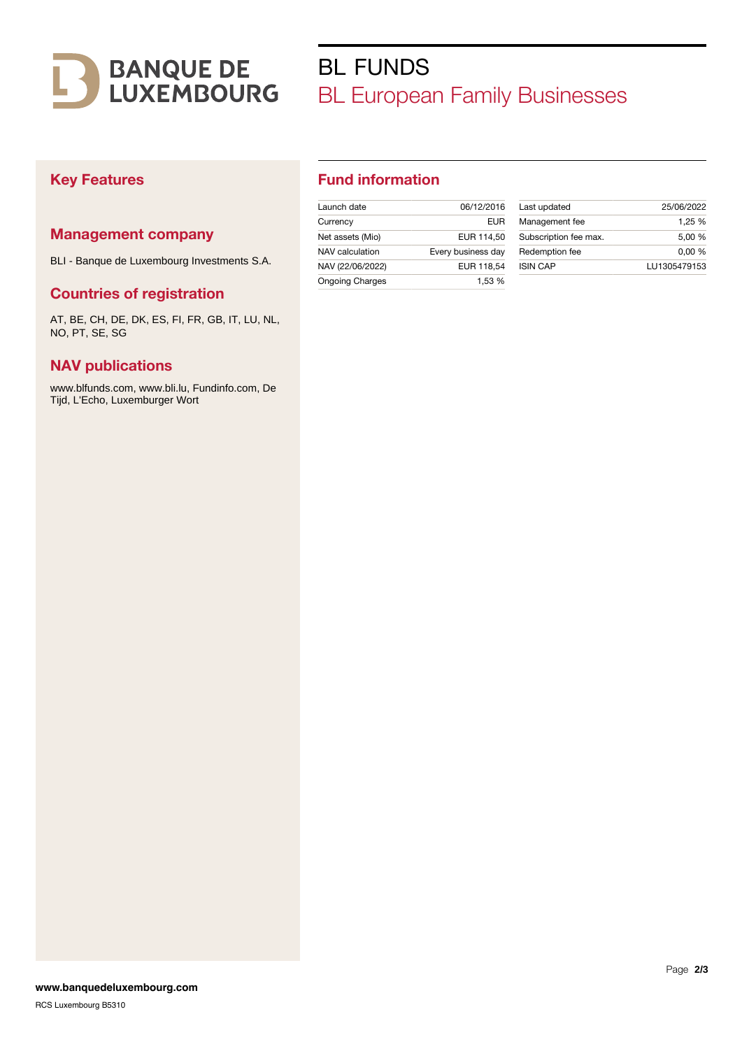

# BL FUNDS BL European Family Businesses

## Key Features

### Management company

BLI - Banque de Luxembourg Investments S.A.

#### Countries of registration

AT, BE, CH, DE, DK, ES, FI, FR, GB, IT, LU, NL, NO, PT, SE, SG

### NAV publications

www.blfunds.com, www.bli.lu, Fundinfo.com, De Tijd, L'Echo, Luxemburger Wort

## Fund information

| Launch date            | 06/12/2016         |
|------------------------|--------------------|
| Currency               | FUR                |
| Net assets (Mio)       | EUR 114.50         |
| NAV calculation        | Every business day |
| NAV (22/06/2022)       | EUR 118.54         |
| <b>Ongoing Charges</b> | 1.53 %             |

| Last updated          | 25/06/2022   |
|-----------------------|--------------|
| Management fee        | 1,25 %       |
| Subscription fee max. | 5.00 %       |
| Redemption fee        | 0.00%        |
| <b>ISIN CAP</b>       | LU1305479153 |
|                       |              |